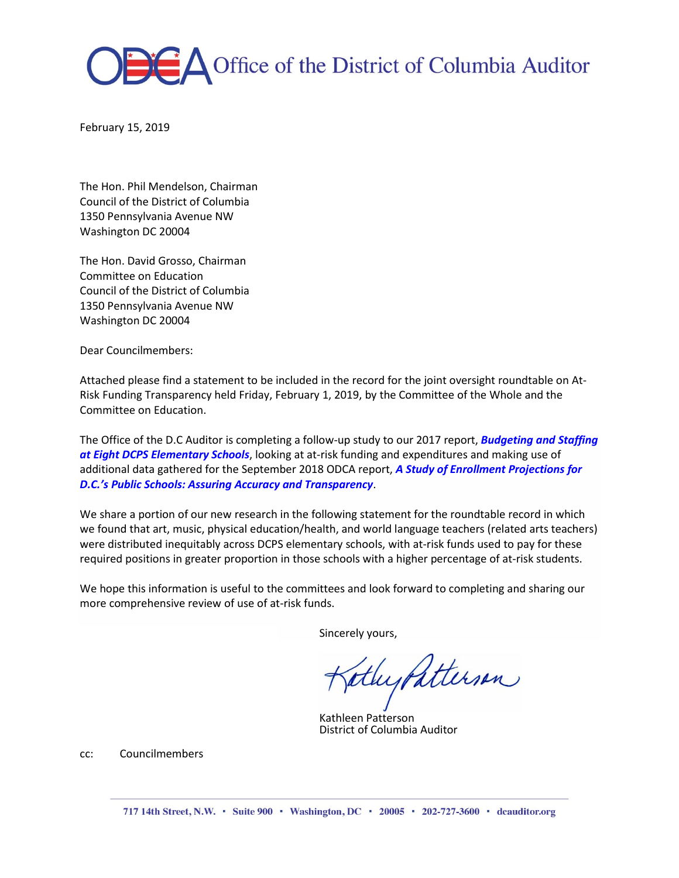

February 15, 2019

The Hon. Phil Mendelson, Chairman Council of the District of Columbia 1350 Pennsylvania Avenue NW Washington DC 20004

The Hon. David Grosso, Chairman Committee on Education Council of the District of Columbia 1350 Pennsylvania Avenue NW Washington DC 20004

Dear Councilmembers:

Attached please find a statement to be included in the record for the joint oversight roundtable on At-Risk Funding Transparency held Friday, February 1, 2019, by the Committee of the Whole and the Committee on Education.

The Office of the D.C Auditor is completing a follow-up study to our 2017 report, *[Budgeting](http://zd4l62ki6k620lqb52h9ldm1.wpengine.netdna-cdn.com/wp-content/uploads/2018/07/DCPS.Staffing.Report.Final_.10.30.17.pdf) and Staffing at Eight DCPS [Elementary](http://zd4l62ki6k620lqb52h9ldm1.wpengine.netdna-cdn.com/wp-content/uploads/2018/07/DCPS.Staffing.Report.Final_.10.30.17.pdf) Schools*, looking at at-risk funding and expenditures and making use of additional data gathered for the September 2018 ODCA report, *A Study of Enrollment [Projections](http://dcauditor.org/report/a-study-of-enrollment-projections-for-d-c-s-public-schools-assuring-accuracy-and-transparency/) for D.C.'s Public Schools: Assuring Accuracy and [Transparency](http://dcauditor.org/report/a-study-of-enrollment-projections-for-d-c-s-public-schools-assuring-accuracy-and-transparency/)*.

We share a portion of our new research in the following statement for the roundtable record in which we found that art, music, physical education/health, and world language teachers (related arts teachers) were distributed inequitably across DCPS elementary schools, with at-risk funds used to pay for these required positions in greater proportion in those schools with a higher percentage of at-risk students.

We hope this information is useful to the committees and look forward to completing and sharing our more comprehensive review of use of at-risk funds.

Sincerely yours,

athypatterson

Kathleen Patterson District of Columbia Auditor

cc: Councilmembers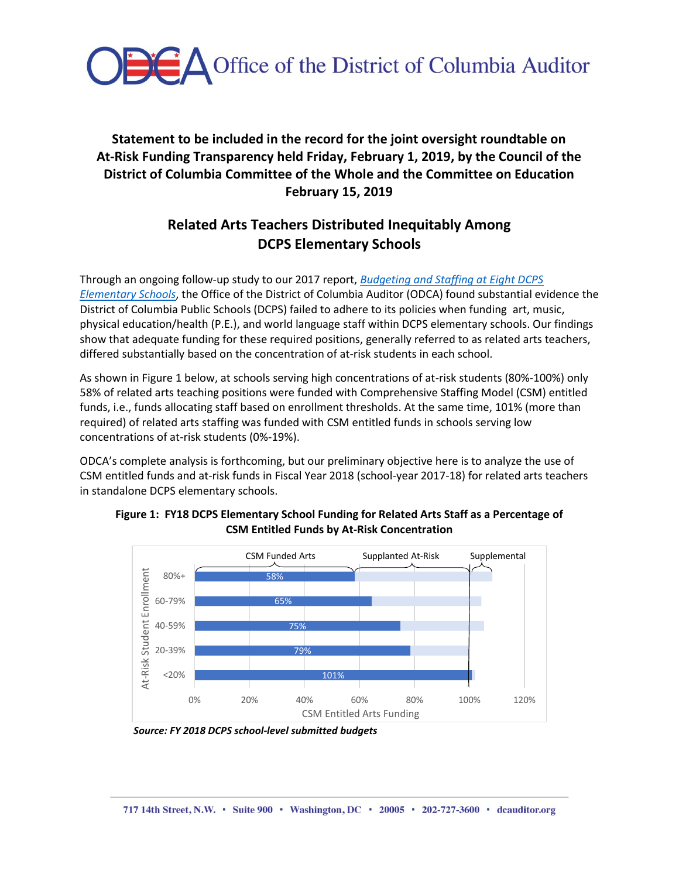

## **Statement to be included in the record for the joint oversight roundtable on At-Risk Funding Transparency held Friday, February 1, 2019, by the Council of the District of Columbia Committee of the Whole and the Committee on Education February 15, 2019**

# **Related Arts Teachers Distributed Inequitably Among DCPS Elementary Schools**

Through an ongoing follow-up study to our 2017 report, *[Budgeting and Staffing at Eight DCPS](http://zd4l62ki6k620lqb52h9ldm1.wpengine.netdna-cdn.com/wp-content/uploads/2018/07/DCPS.Staffing.Report.Final_.10.30.17.pdf)  [Elementary Schools](http://zd4l62ki6k620lqb52h9ldm1.wpengine.netdna-cdn.com/wp-content/uploads/2018/07/DCPS.Staffing.Report.Final_.10.30.17.pdf)*, the Office of the District of Columbia Auditor (ODCA) found substantial evidence the District of Columbia Public Schools (DCPS) failed to adhere to its policies when funding art, music, physical education/health (P.E.), and world language staff within DCPS elementary schools. Our findings show that adequate funding for these required positions, generally referred to as related arts teachers, differed substantially based on the concentration of at-risk students in each school.

As shown in Figure 1 below, at schools serving high concentrations of at-risk students (80%-100%) only 58% of related arts teaching positions were funded with Comprehensive Staffing Model (CSM) entitled funds, i.e., funds allocating staff based on enrollment thresholds. At the same time, 101% (more than required) of related arts staffing was funded with CSM entitled funds in schools serving low concentrations of at-risk students (0%-19%).

ODCA's complete analysis is forthcoming, but our preliminary objective here is to analyze the use of CSM entitled funds and at-risk funds in Fiscal Year 2018 (school-year 2017-18) for related arts teachers in standalone DCPS elementary schools.



**Figure 1: FY18 DCPS Elementary School Funding for Related Arts Staff as a Percentage of CSM Entitled Funds by At-Risk Concentration** 

*Source: FY 2018 DCPS school-level submitted budgets*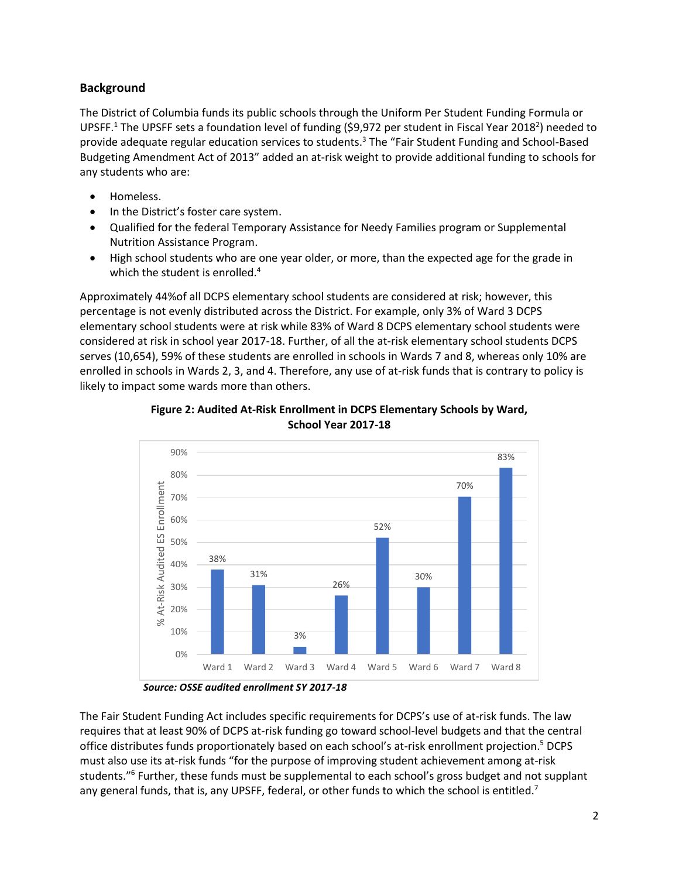#### **Background**

The District of Columbia funds its public schools through the Uniform Per Student Funding Formula or UPSFF.<sup>1</sup> The UPSFF sets a foundation level of funding (\$9,972 per student in Fiscal Year 2018<sup>2</sup>) needed to provide adequate regular education services to students. <sup>3</sup> The "Fair Student Funding and School-Based Budgeting Amendment Act of 2013" added an at-risk weight to provide additional funding to schools for any students who are:

- Homeless.
- In the District's foster care system.
- Qualified for the federal Temporary Assistance for Needy Families program or Supplemental Nutrition Assistance Program.
- High school students who are one year older, or more, than the expected age for the grade in which the student is enrolled.<sup>4</sup>

Approximately 44%of all DCPS elementary school students are considered at risk; however, this percentage is not evenly distributed across the District. For example, only 3% of Ward 3 DCPS elementary school students were at risk while 83% of Ward 8 DCPS elementary school students were considered at risk in school year 2017-18. Further, of all the at-risk elementary school students DCPS serves (10,654), 59% of these students are enrolled in schools in Wards 7 and 8, whereas only 10% are enrolled in schools in Wards 2, 3, and 4. Therefore, any use of at-risk funds that is contrary to policy is likely to impact some wards more than others.



**Figure 2: Audited At-Risk Enrollment in DCPS Elementary Schools by Ward, School Year 2017-18**

The Fair Student Funding Act includes specific requirements for DCPS's use of at-risk funds. The law requires that at least 90% of DCPS at-risk funding go toward school-level budgets and that the central office distributes funds proportionately based on each school's at-risk enrollment projection. <sup>5</sup> DCPS must also use its at-risk funds "for the purpose of improving student achievement among at-risk students."<sup>6</sup> Further, these funds must be supplemental to each school's gross budget and not supplant any general funds, that is, any UPSFF, federal, or other funds to which the school is entitled.<sup>7</sup>

*Source: OSSE audited enrollment SY 2017-18*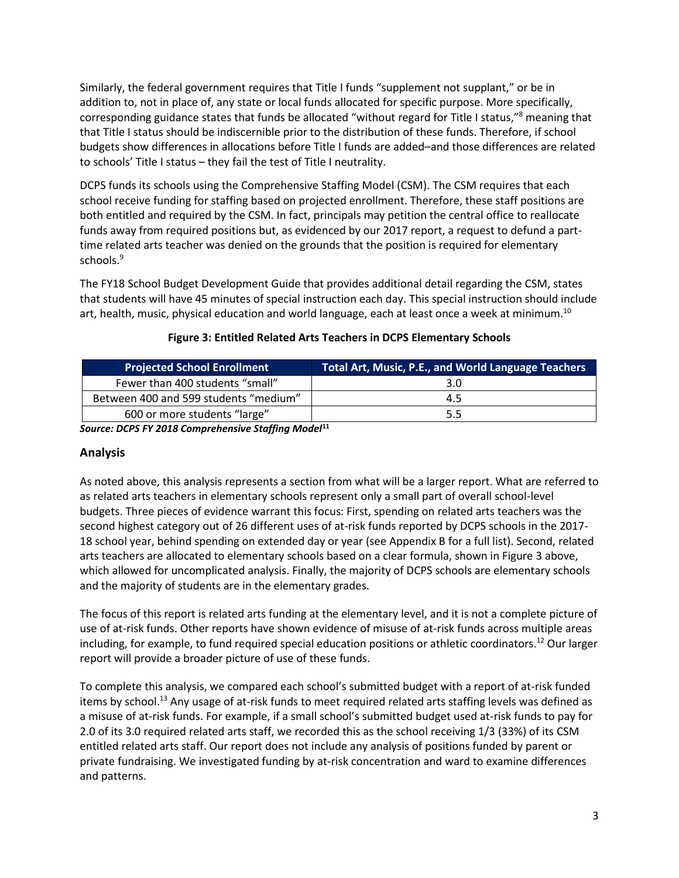Similarly, the federal government requires that Title I funds "supplement not supplant," or be in addition to, not in place of, any state or local funds allocated for specific purpose. More specifically, corresponding guidance states that funds be allocated "without regard for Title I status,"<sup>8</sup> meaning that that Title I status should be indiscernible prior to the distribution of these funds. Therefore, if school budgets show differences in allocations before Title I funds are added–and those differences are related to schools' Title I status – they fail the test of Title I neutrality.

DCPS funds its schools using the Comprehensive Staffing Model (CSM). The CSM requires that each school receive funding for staffing based on projected enrollment. Therefore, these staff positions are both entitled and required by the CSM. In fact, principals may petition the central office to reallocate funds away from required positions but, as evidenced by our 2017 report, a request to defund a parttime related arts teacher was denied on the grounds that the position is required for elementary schools.<sup>9</sup>

The FY18 School Budget Development Guide that provides additional detail regarding the CSM, states that students will have 45 minutes of special instruction each day. This special instruction should include art, health, music, physical education and world language, each at least once a week at minimum.<sup>10</sup>

| <b>Projected School Enrollment</b>    | Total Art, Music, P.E., and World Language Teachers |
|---------------------------------------|-----------------------------------------------------|
| Fewer than 400 students "small"       | 3.0                                                 |
| Between 400 and 599 students "medium" | 4.5                                                 |
| 600 or more students "large"          | 5.5                                                 |

## **Figure 3: Entitled Related Arts Teachers in DCPS Elementary Schools**

*Source: DCPS FY 2018 Comprehensive Staffing Model***<sup>11</sup>**

#### **Analysis**

As noted above, this analysis represents a section from what will be a larger report. What are referred to as related arts teachers in elementary schools represent only a small part of overall school-level budgets. Three pieces of evidence warrant this focus: First, spending on related arts teachers was the second highest category out of 26 different uses of at-risk funds reported by DCPS schools in the 2017- 18 school year, behind spending on extended day or year (see Appendix B for a full list). Second, related arts teachers are allocated to elementary schools based on a clear formula, shown in Figure 3 above, which allowed for uncomplicated analysis. Finally, the majority of DCPS schools are elementary schools and the majority of students are in the elementary grades.

The focus of this report is related arts funding at the elementary level, and it is not a complete picture of use of at-risk funds. Other reports have shown evidence of misuse of at-risk funds across multiple areas including, for example, to fund required special education positions or athletic coordinators.<sup>12</sup> Our larger report will provide a broader picture of use of these funds.

To complete this analysis, we compared each school's submitted budget with a report of at-risk funded items by school.<sup>13</sup> Any usage of at-risk funds to meet required related arts staffing levels was defined as a misuse of at-risk funds. For example, if a small school's submitted budget used at-risk funds to pay for 2.0 of its 3.0 required related arts staff, we recorded this as the school receiving 1/3 (33%) of its CSM entitled related arts staff. Our report does not include any analysis of positions funded by parent or private fundraising. We investigated funding by at-risk concentration and ward to examine differences and patterns.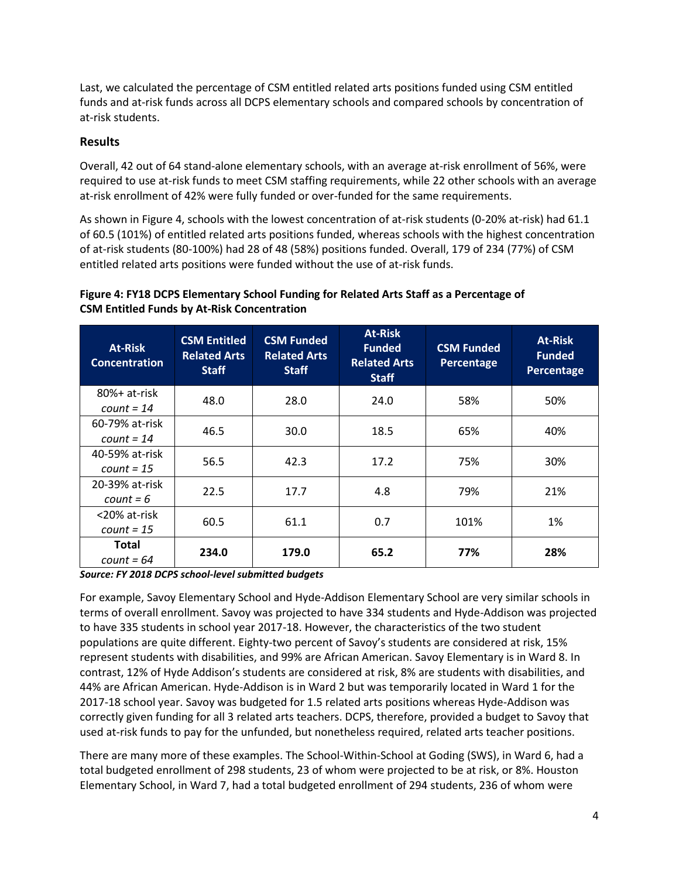Last, we calculated the percentage of CSM entitled related arts positions funded using CSM entitled funds and at-risk funds across all DCPS elementary schools and compared schools by concentration of at-risk students.

#### **Results**

Overall, 42 out of 64 stand-alone elementary schools, with an average at-risk enrollment of 56%, were required to use at-risk funds to meet CSM staffing requirements, while 22 other schools with an average at-risk enrollment of 42% were fully funded or over-funded for the same requirements.

As shown in Figure 4, schools with the lowest concentration of at-risk students (0-20% at-risk) had 61.1 of 60.5 (101%) of entitled related arts positions funded, whereas schools with the highest concentration of at-risk students (80-100%) had 28 of 48 (58%) positions funded. Overall, 179 of 234 (77%) of CSM entitled related arts positions were funded without the use of at-risk funds.

## **Figure 4: FY18 DCPS Elementary School Funding for Related Arts Staff as a Percentage of CSM Entitled Funds by At-Risk Concentration**

| <b>At-Risk</b><br><b>Concentration</b> | <b>CSM Entitled</b><br><b>Related Arts</b><br><b>Staff</b> | <b>CSM Funded</b><br><b>Related Arts</b><br><b>Staff</b> | <b>At-Risk</b><br><b>Funded</b><br><b>Related Arts</b><br><b>Staff</b> | <b>CSM Funded</b><br>Percentage | <b>At-Risk</b><br><b>Funded</b><br>Percentage |
|----------------------------------------|------------------------------------------------------------|----------------------------------------------------------|------------------------------------------------------------------------|---------------------------------|-----------------------------------------------|
| $80\%$ + at-risk<br>$count = 14$       | 48.0                                                       | 28.0                                                     | 24.0                                                                   | 58%                             | 50%                                           |
| 60-79% at-risk<br>$count = 14$         | 46.5                                                       | 30.0                                                     | 18.5                                                                   | 65%                             | 40%                                           |
| 40-59% at-risk<br>$count = 15$         | 56.5                                                       | 42.3                                                     | 17.2                                                                   | 75%                             | 30%                                           |
| 20-39% at-risk<br>$count = 6$          | 22.5                                                       | 17.7                                                     | 4.8                                                                    | 79%                             | 21%                                           |
| <20% at-risk<br>$count = 15$           | 60.5                                                       | 61.1                                                     | 0.7                                                                    | 101%                            | 1%                                            |
| Total<br>$count = 64$                  | 234.0                                                      | 179.0                                                    | 65.2                                                                   | 77%                             | 28%                                           |

*Source: FY 2018 DCPS school-level submitted budgets*

For example, Savoy Elementary School and Hyde-Addison Elementary School are very similar schools in terms of overall enrollment. Savoy was projected to have 334 students and Hyde-Addison was projected to have 335 students in school year 2017-18. However, the characteristics of the two student populations are quite different. Eighty-two percent of Savoy's students are considered at risk, 15% represent students with disabilities, and 99% are African American. Savoy Elementary is in Ward 8. In contrast, 12% of Hyde Addison's students are considered at risk, 8% are students with disabilities, and 44% are African American. Hyde-Addison is in Ward 2 but was temporarily located in Ward 1 for the 2017-18 school year. Savoy was budgeted for 1.5 related arts positions whereas Hyde-Addison was correctly given funding for all 3 related arts teachers. DCPS, therefore, provided a budget to Savoy that used at-risk funds to pay for the unfunded, but nonetheless required, related arts teacher positions.

There are many more of these examples. The School-Within-School at Goding (SWS), in Ward 6, had a total budgeted enrollment of 298 students, 23 of whom were projected to be at risk, or 8%. Houston Elementary School, in Ward 7, had a total budgeted enrollment of 294 students, 236 of whom were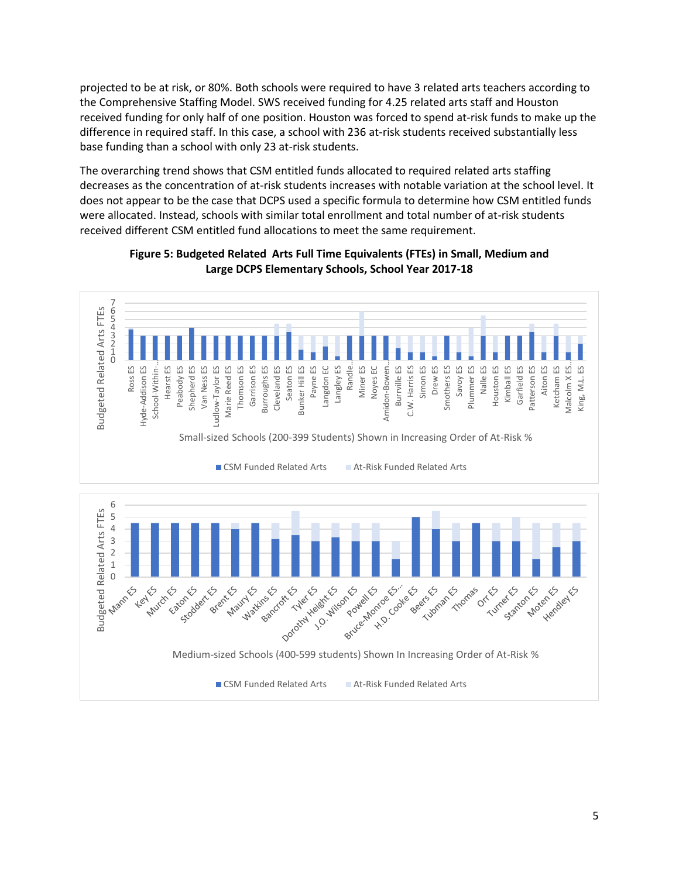projected to be at risk, or 80%. Both schools were required to have 3 related arts teachers according to the Comprehensive Staffing Model. SWS received funding for 4.25 related arts staff and Houston received funding for only half of one position. Houston was forced to spend at-risk funds to make up the difference in required staff. In this case, a school with 236 at-risk students received substantially less base funding than a school with only 23 at-risk students.

The overarching trend shows that CSM entitled funds allocated to required related arts staffing decreases as the concentration of at-risk students increases with notable variation at the school level. It does not appear to be the case that DCPS used a specific formula to determine how CSM entitled funds were allocated. Instead, schools with similar total enrollment and total number of at-risk students received different CSM entitled fund allocations to meet the same requirement.



**Figure 5: Budgeted Related Arts Full Time Equivalents (FTEs) in Small, Medium and Large DCPS Elementary Schools, School Year 2017-18**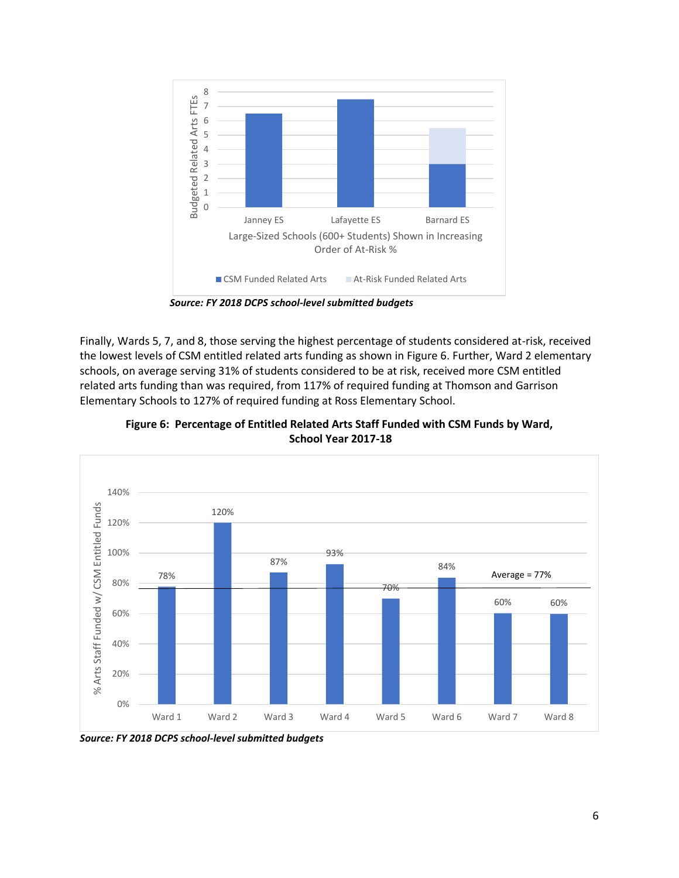

 *Source: FY 2018 DCPS school-level submitted budgets*

Finally, Wards 5, 7, and 8, those serving the highest percentage of students considered at-risk, received the lowest levels of CSM entitled related arts funding as shown in Figure 6. Further, Ward 2 elementary schools, on average serving 31% of students considered to be at risk, received more CSM entitled related arts funding than was required, from 117% of required funding at Thomson and Garrison Elementary Schools to 127% of required funding at Ross Elementary School.



**Figure 6: Percentage of Entitled Related Arts Staff Funded with CSM Funds by Ward, School Year 2017-18**

*Source: FY 2018 DCPS school-level submitted budgets*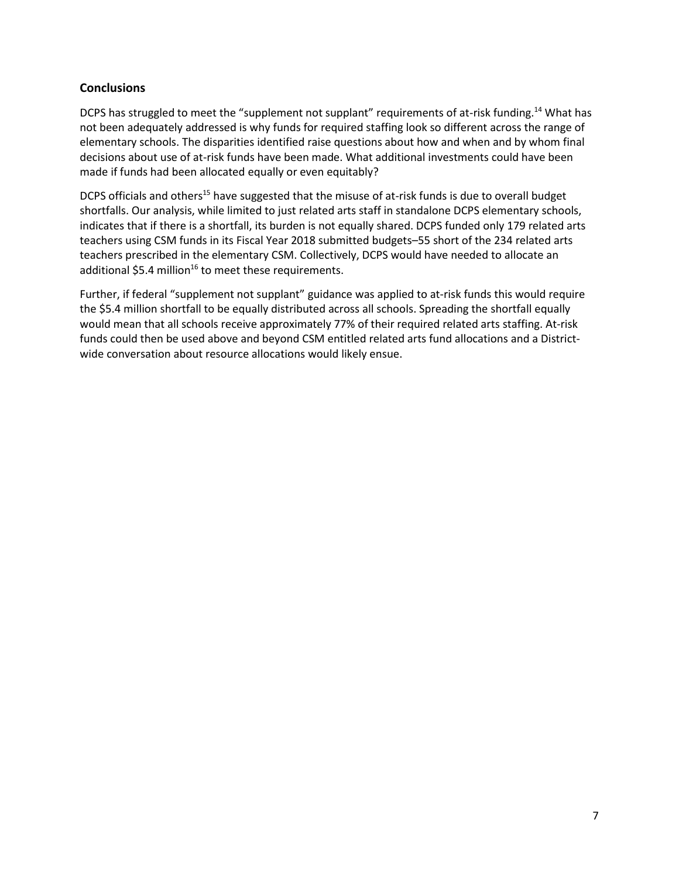#### **Conclusions**

DCPS has struggled to meet the "supplement not supplant" requirements of at-risk funding.<sup>14</sup> What has not been adequately addressed is why funds for required staffing look so different across the range of elementary schools. The disparities identified raise questions about how and when and by whom final decisions about use of at-risk funds have been made. What additional investments could have been made if funds had been allocated equally or even equitably?

DCPS officials and others<sup>15</sup> have suggested that the misuse of at-risk funds is due to overall budget shortfalls. Our analysis, while limited to just related arts staff in standalone DCPS elementary schools, indicates that if there is a shortfall, its burden is not equally shared. DCPS funded only 179 related arts teachers using CSM funds in its Fiscal Year 2018 submitted budgets–55 short of the 234 related arts teachers prescribed in the elementary CSM. Collectively, DCPS would have needed to allocate an additional \$5.4 million<sup>16</sup> to meet these requirements.

Further, if federal "supplement not supplant" guidance was applied to at-risk funds this would require the \$5.4 million shortfall to be equally distributed across all schools. Spreading the shortfall equally would mean that all schools receive approximately 77% of their required related arts staffing. At-risk funds could then be used above and beyond CSM entitled related arts fund allocations and a Districtwide conversation about resource allocations would likely ensue.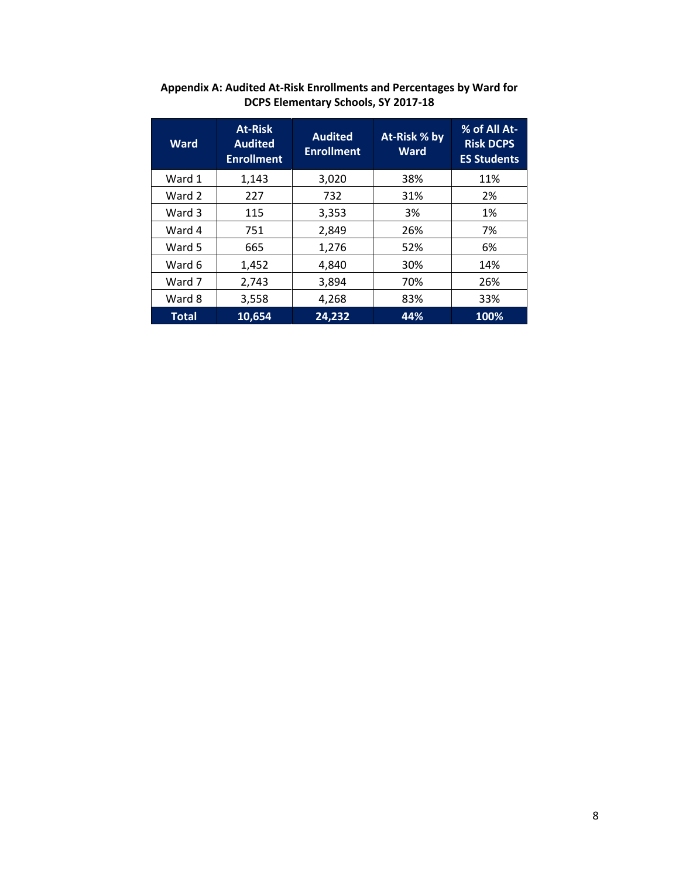| <b>Ward</b> | <b>At-Risk</b><br><b>Audited</b><br><b>Enrollment</b> | <b>Audited</b><br><b>Enrollment</b> | At-Risk % by<br><b>Ward</b> | % of All At-<br><b>Risk DCPS</b><br><b>ES Students</b> |
|-------------|-------------------------------------------------------|-------------------------------------|-----------------------------|--------------------------------------------------------|
| Ward 1      | 1,143                                                 | 3,020                               | 38%                         | 11%                                                    |
| Ward 2      | 227                                                   | 732                                 | 31%                         | 2%                                                     |
| Ward 3      | 115                                                   | 3,353                               | 3%                          | 1%                                                     |
| Ward 4      | 751                                                   | 2,849                               | 26%                         | 7%                                                     |
| Ward 5      | 665                                                   | 1,276                               | 52%                         | 6%                                                     |
| Ward 6      | 1,452                                                 | 4,840                               | 30%                         | 14%                                                    |
| Ward 7      | 2,743                                                 | 3,894                               | 70%                         | 26%                                                    |
| Ward 8      | 3,558                                                 | 4,268                               | 83%                         | 33%                                                    |
| Total       | 10,654                                                | 24,232                              | 44%                         | 100%                                                   |

**Appendix A: Audited At-Risk Enrollments and Percentages by Ward for DCPS Elementary Schools, SY 2017-18**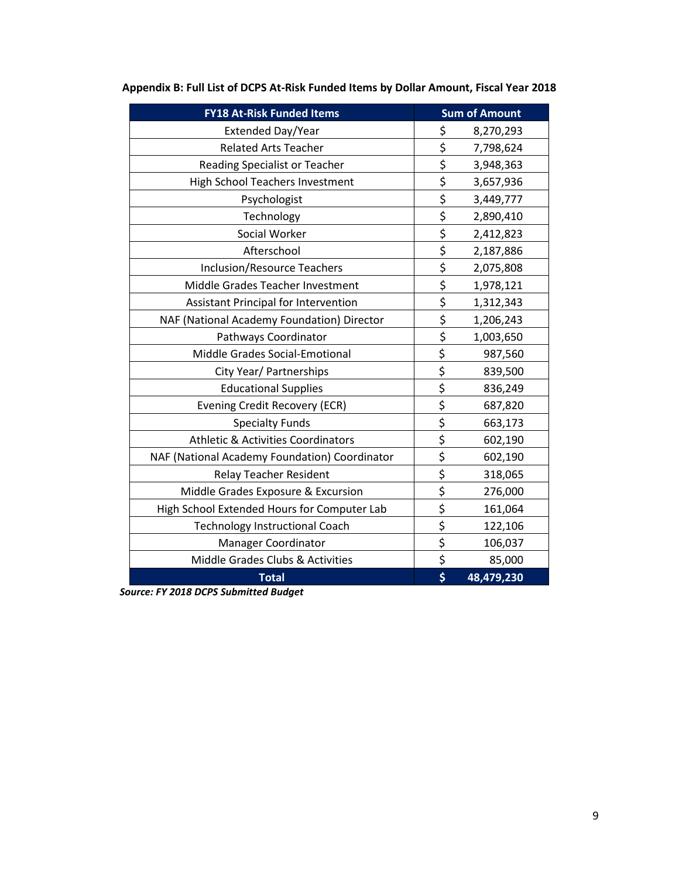| <b>FY18 At-Risk Funded Items</b>              | <b>Sum of Amount</b> |
|-----------------------------------------------|----------------------|
| Extended Day/Year                             | \$<br>8,270,293      |
| <b>Related Arts Teacher</b>                   | \$<br>7,798,624      |
| Reading Specialist or Teacher                 | \$<br>3,948,363      |
| High School Teachers Investment               | \$<br>3,657,936      |
| Psychologist                                  | \$<br>3,449,777      |
| Technology                                    | \$<br>2,890,410      |
| Social Worker                                 | \$<br>2,412,823      |
| Afterschool                                   | \$<br>2,187,886      |
| <b>Inclusion/Resource Teachers</b>            | \$<br>2,075,808      |
| Middle Grades Teacher Investment              | \$<br>1,978,121      |
| Assistant Principal for Intervention          | \$<br>1,312,343      |
| NAF (National Academy Foundation) Director    | \$<br>1,206,243      |
| Pathways Coordinator                          | \$<br>1,003,650      |
| Middle Grades Social-Emotional                | \$<br>987,560        |
| City Year/ Partnerships                       | \$<br>839,500        |
| <b>Educational Supplies</b>                   | \$<br>836,249        |
| <b>Evening Credit Recovery (ECR)</b>          | \$<br>687,820        |
| <b>Specialty Funds</b>                        | \$<br>663,173        |
| <b>Athletic &amp; Activities Coordinators</b> | \$<br>602,190        |
| NAF (National Academy Foundation) Coordinator | \$<br>602,190        |
| <b>Relay Teacher Resident</b>                 | \$<br>318,065        |
| Middle Grades Exposure & Excursion            | \$<br>276,000        |
| High School Extended Hours for Computer Lab   | \$<br>161,064        |
| <b>Technology Instructional Coach</b>         | \$<br>122,106        |
| <b>Manager Coordinator</b>                    | \$<br>106,037        |
| Middle Grades Clubs & Activities              | \$<br>85,000         |
| <b>Total</b>                                  | \$<br>48,479,230     |

| Appendix B: Full List of DCPS At-Risk Funded Items by Dollar Amount, Fiscal Year 2018 |  |  |
|---------------------------------------------------------------------------------------|--|--|
|                                                                                       |  |  |

*Source: FY 2018 DCPS Submitted Budget*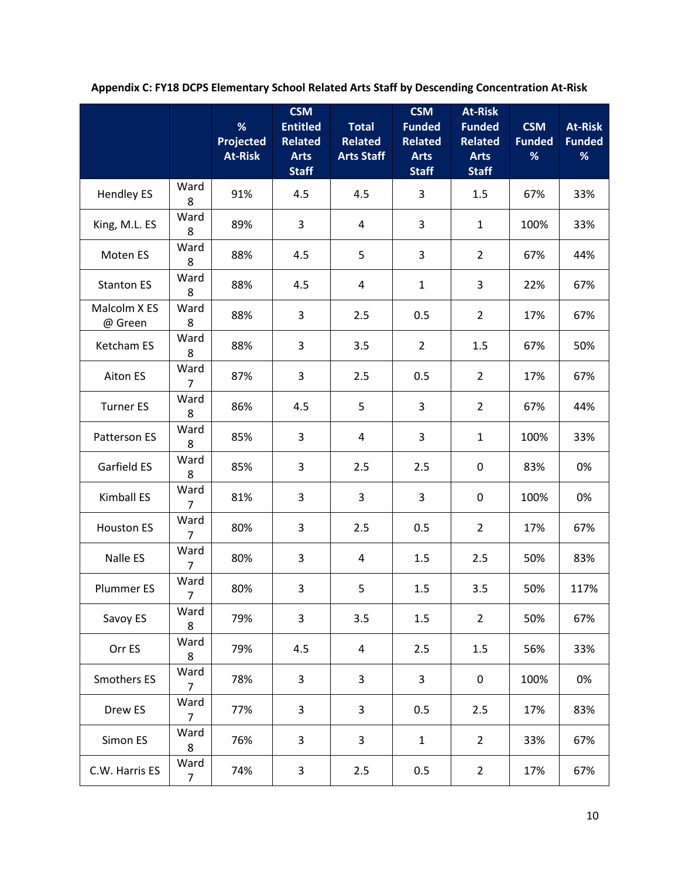|                         |                        | %<br>Projected<br><b>At-Risk</b> | <b>CSM</b><br><b>Entitled</b><br><b>Related</b><br><b>Arts</b><br><b>Staff</b> | <b>Total</b><br><b>Related</b><br><b>Arts Staff</b> | <b>CSM</b><br><b>Funded</b><br><b>Related</b><br><b>Arts</b><br><b>Staff</b> | <b>At-Risk</b><br><b>Funded</b><br><b>Related</b><br><b>Arts</b><br><b>Staff</b> | <b>CSM</b><br><b>Funded</b><br>% | <b>At-Risk</b><br><b>Funded</b><br>% |
|-------------------------|------------------------|----------------------------------|--------------------------------------------------------------------------------|-----------------------------------------------------|------------------------------------------------------------------------------|----------------------------------------------------------------------------------|----------------------------------|--------------------------------------|
| <b>Hendley ES</b>       | Ward<br>8              | 91%                              | 4.5                                                                            | 4.5                                                 | $\mathsf 3$                                                                  | 1.5                                                                              | 67%                              | 33%                                  |
| King, M.L. ES           | Ward<br>8              | 89%                              | 3                                                                              | $\overline{4}$                                      | 3                                                                            | $\mathbf{1}$                                                                     | 100%                             | 33%                                  |
| Moten ES                | Ward<br>8              | 88%                              | 4.5                                                                            | 5                                                   | 3                                                                            | $\overline{2}$                                                                   | 67%                              | 44%                                  |
| <b>Stanton ES</b>       | Ward<br>8              | 88%                              | 4.5                                                                            | 4                                                   | $1\,$                                                                        | 3                                                                                | 22%                              | 67%                                  |
| Malcolm X ES<br>@ Green | Ward<br>8              | 88%                              | 3                                                                              | 2.5                                                 | 0.5                                                                          | $\overline{2}$                                                                   | 17%                              | 67%                                  |
| Ketcham ES              | Ward<br>8              | 88%                              | 3                                                                              | 3.5                                                 | $\overline{2}$                                                               | 1.5                                                                              | 67%                              | 50%                                  |
| Aiton ES                | Ward<br>7              | 87%                              | 3                                                                              | 2.5                                                 | 0.5                                                                          | $\overline{2}$                                                                   | 17%                              | 67%                                  |
| <b>Turner ES</b>        | Ward<br>8              | 86%                              | 4.5                                                                            | 5                                                   | 3                                                                            | $\overline{2}$                                                                   | 67%                              | 44%                                  |
| Patterson ES            | Ward<br>8              | 85%                              | 3                                                                              | 4                                                   | 3                                                                            | $\mathbf{1}$                                                                     | 100%                             | 33%                                  |
| Garfield ES             | Ward<br>8              | 85%                              | 3                                                                              | 2.5                                                 | 2.5                                                                          | 0                                                                                | 83%                              | 0%                                   |
| Kimball ES              | Ward<br>$\overline{7}$ | 81%                              | 3                                                                              | 3                                                   | 3                                                                            | 0                                                                                | 100%                             | 0%                                   |
| <b>Houston ES</b>       | Ward<br>$\overline{7}$ | 80%                              | 3                                                                              | 2.5                                                 | 0.5                                                                          | $\overline{2}$                                                                   | 17%                              | 67%                                  |
| Nalle ES                | Ward<br>$\overline{7}$ | 80%                              | 3                                                                              | $\overline{4}$                                      | 1.5                                                                          | 2.5                                                                              | 50%                              | 83%                                  |
| Plummer ES              | Ward<br>7              | 80%                              | $\overline{3}$                                                                 | 5                                                   | 1.5                                                                          | 3.5                                                                              | 50%                              | 117%                                 |
| Savoy ES                | Ward<br>8              | 79%                              | 3                                                                              | 3.5                                                 | 1.5                                                                          | $\overline{2}$                                                                   | 50%                              | 67%                                  |
| Orr ES                  | Ward<br>8              | 79%                              | 4.5                                                                            | $\overline{4}$                                      | 2.5                                                                          | 1.5                                                                              | 56%                              | 33%                                  |
| Smothers ES             | Ward<br>$\overline{7}$ | 78%                              | 3                                                                              | 3                                                   | 3                                                                            | 0                                                                                | 100%                             | 0%                                   |
| Drew ES                 | Ward<br>$\overline{7}$ | 77%                              | 3                                                                              | 3                                                   | 0.5                                                                          | 2.5                                                                              | 17%                              | 83%                                  |
| Simon ES                | Ward<br>8              | 76%                              | 3                                                                              | 3                                                   | $\mathbf{1}$                                                                 | $\overline{2}$                                                                   | 33%                              | 67%                                  |
| C.W. Harris ES          | Ward<br>$\overline{7}$ | 74%                              | 3                                                                              | 2.5                                                 | 0.5                                                                          | $\overline{2}$                                                                   | 17%                              | 67%                                  |

**Appendix C: FY18 DCPS Elementary School Related Arts Staff by Descending Concentration At-Risk**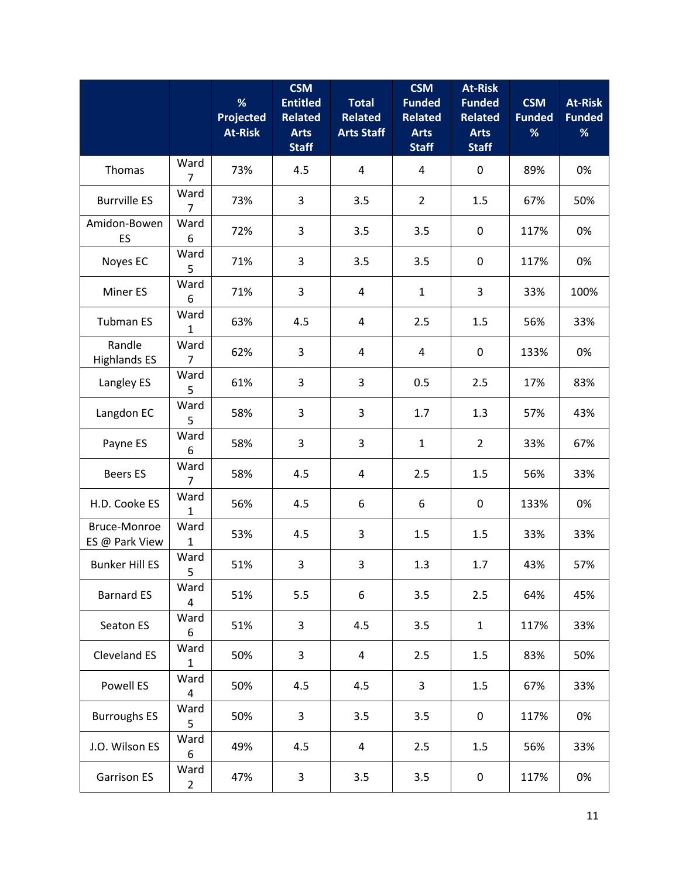|                                |                        | %<br>Projected<br><b>At-Risk</b> | <b>CSM</b><br><b>Entitled</b><br><b>Related</b><br><b>Arts</b><br><b>Staff</b> | <b>Total</b><br><b>Related</b><br><b>Arts Staff</b> | <b>CSM</b><br><b>Funded</b><br><b>Related</b><br><b>Arts</b><br><b>Staff</b> | <b>At-Risk</b><br><b>Funded</b><br><b>Related</b><br><b>Arts</b><br><b>Staff</b> | <b>CSM</b><br><b>Funded</b><br>% | <b>At-Risk</b><br><b>Funded</b><br>% |
|--------------------------------|------------------------|----------------------------------|--------------------------------------------------------------------------------|-----------------------------------------------------|------------------------------------------------------------------------------|----------------------------------------------------------------------------------|----------------------------------|--------------------------------------|
| Thomas                         | Ward<br>$\overline{7}$ | 73%                              | 4.5                                                                            | 4                                                   | 4                                                                            | $\boldsymbol{0}$                                                                 | 89%                              | 0%                                   |
| <b>Burrville ES</b>            | Ward<br>$\overline{7}$ | 73%                              | 3                                                                              | 3.5                                                 | $\overline{2}$                                                               | 1.5                                                                              | 67%                              | 50%                                  |
| Amidon-Bowen<br>ES             | Ward<br>6              | 72%                              | 3                                                                              | 3.5                                                 | 3.5                                                                          | $\mathbf 0$                                                                      | 117%                             | 0%                                   |
| Noyes EC                       | Ward<br>5              | 71%                              | 3                                                                              | 3.5                                                 | 3.5                                                                          | 0                                                                                | 117%                             | 0%                                   |
| Miner ES                       | Ward<br>6              | 71%                              | 3                                                                              | $\overline{4}$                                      | $\mathbf{1}$                                                                 | 3                                                                                | 33%                              | 100%                                 |
| <b>Tubman ES</b>               | Ward<br>1              | 63%                              | 4.5                                                                            | 4                                                   | 2.5                                                                          | 1.5                                                                              | 56%                              | 33%                                  |
| Randle<br><b>Highlands ES</b>  | Ward<br>7              | 62%                              | 3                                                                              | 4                                                   | 4                                                                            | $\mathbf 0$                                                                      | 133%                             | 0%                                   |
| Langley ES                     | Ward<br>5              | 61%                              | 3                                                                              | 3                                                   | 0.5                                                                          | 2.5                                                                              | 17%                              | 83%                                  |
| Langdon EC                     | Ward<br>5              | 58%                              | 3                                                                              | 3                                                   | 1.7                                                                          | 1.3                                                                              | 57%                              | 43%                                  |
| Payne ES                       | Ward<br>6              | 58%                              | 3                                                                              | 3                                                   | $\mathbf{1}$                                                                 | $\overline{2}$                                                                   | 33%                              | 67%                                  |
| <b>Beers ES</b>                | Ward<br>$\overline{7}$ | 58%                              | 4.5                                                                            | 4                                                   | 2.5                                                                          | 1.5                                                                              | 56%                              | 33%                                  |
| H.D. Cooke ES                  | Ward<br>1              | 56%                              | 4.5                                                                            | 6                                                   | 6                                                                            | $\boldsymbol{0}$                                                                 | 133%                             | 0%                                   |
| Bruce-Monroe<br>ES @ Park View | Ward<br>$\mathbf{1}$   | 53%                              | 4.5                                                                            | 3                                                   | 1.5                                                                          | 1.5                                                                              | 33%                              | 33%                                  |
| <b>Bunker Hill ES</b>          | Ward<br>5              | 51%                              | 3                                                                              | 3                                                   | 1.3                                                                          | 1.7                                                                              | 43%                              | 57%                                  |
| <b>Barnard ES</b>              | Ward<br>4              | 51%                              | 5.5                                                                            | 6                                                   | 3.5                                                                          | 2.5                                                                              | 64%                              | 45%                                  |
| Seaton ES                      | Ward<br>6              | 51%                              | 3                                                                              | 4.5                                                 | 3.5                                                                          | $\mathbf{1}$                                                                     | 117%                             | 33%                                  |
| Cleveland ES                   | Ward<br>$\mathbf{1}$   | 50%                              | 3                                                                              | 4                                                   | 2.5                                                                          | 1.5                                                                              | 83%                              | 50%                                  |
| Powell ES                      | Ward<br>4              | 50%                              | 4.5                                                                            | 4.5                                                 | 3                                                                            | 1.5                                                                              | 67%                              | 33%                                  |
| <b>Burroughs ES</b>            | Ward<br>5              | 50%                              | 3                                                                              | 3.5                                                 | 3.5                                                                          | $\mathbf 0$                                                                      | 117%                             | 0%                                   |
| J.O. Wilson ES                 | Ward<br>6              | 49%                              | 4.5                                                                            | 4                                                   | 2.5                                                                          | 1.5                                                                              | 56%                              | 33%                                  |
| <b>Garrison ES</b>             | Ward<br>$\overline{2}$ | 47%                              | 3                                                                              | 3.5                                                 | 3.5                                                                          | 0                                                                                | 117%                             | 0%                                   |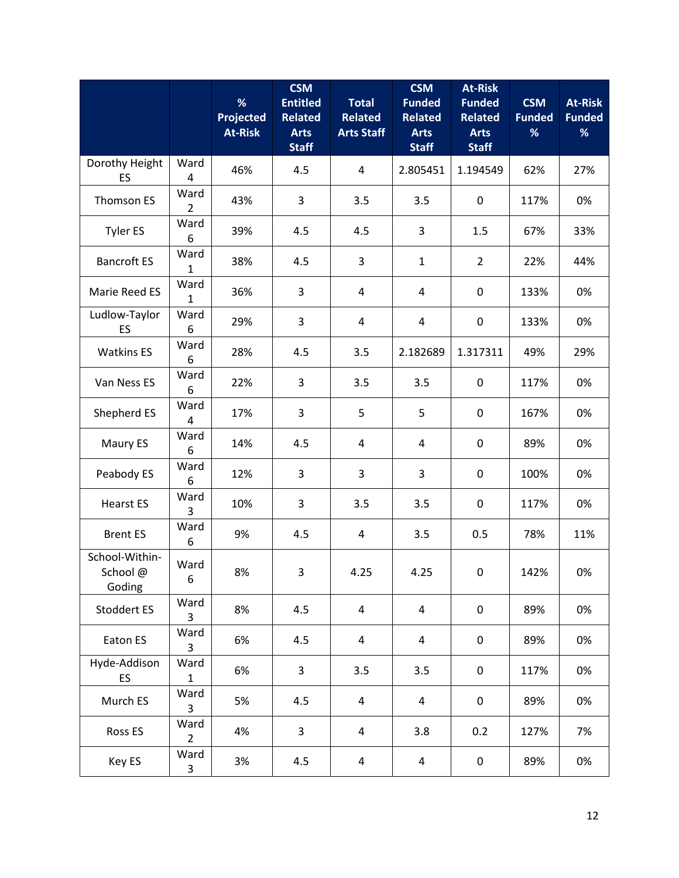|                                     |                        | %<br><b>Projected</b><br><b>At-Risk</b> | <b>CSM</b><br><b>Entitled</b><br><b>Related</b><br><b>Arts</b><br><b>Staff</b> | <b>Total</b><br><b>Related</b><br><b>Arts Staff</b> | <b>CSM</b><br><b>Funded</b><br><b>Related</b><br><b>Arts</b><br><b>Staff</b> | <b>At-Risk</b><br><b>Funded</b><br><b>Related</b><br><b>Arts</b><br><b>Staff</b> | <b>CSM</b><br><b>Funded</b><br>% | <b>At-Risk</b><br><b>Funded</b><br>% |
|-------------------------------------|------------------------|-----------------------------------------|--------------------------------------------------------------------------------|-----------------------------------------------------|------------------------------------------------------------------------------|----------------------------------------------------------------------------------|----------------------------------|--------------------------------------|
| Dorothy Height<br>ES                | Ward<br>4              | 46%                                     | 4.5                                                                            | 4                                                   | 2.805451                                                                     | 1.194549                                                                         | 62%                              | 27%                                  |
| Thomson ES                          | Ward<br>$\overline{2}$ | 43%                                     | 3                                                                              | 3.5                                                 | 3.5                                                                          | $\boldsymbol{0}$                                                                 | 117%                             | 0%                                   |
| <b>Tyler ES</b>                     | Ward<br>6              | 39%                                     | 4.5                                                                            | 4.5                                                 | 3                                                                            | 1.5                                                                              | 67%                              | 33%                                  |
| <b>Bancroft ES</b>                  | Ward<br>$\mathbf{1}$   | 38%                                     | 4.5                                                                            | 3                                                   | $\mathbf{1}$                                                                 | $\overline{2}$                                                                   | 22%                              | 44%                                  |
| Marie Reed ES                       | Ward<br>1              | 36%                                     | 3                                                                              | $\overline{4}$                                      | 4                                                                            | $\boldsymbol{0}$                                                                 | 133%                             | 0%                                   |
| Ludlow-Taylor<br>ES                 | Ward<br>6              | 29%                                     | 3                                                                              | $\overline{4}$                                      | 4                                                                            | $\boldsymbol{0}$                                                                 | 133%                             | 0%                                   |
| <b>Watkins ES</b>                   | Ward<br>6              | 28%                                     | 4.5                                                                            | 3.5                                                 | 2.182689                                                                     | 1.317311                                                                         | 49%                              | 29%                                  |
| Van Ness ES                         | Ward<br>6              | 22%                                     | 3                                                                              | 3.5                                                 | 3.5                                                                          | $\boldsymbol{0}$                                                                 | 117%                             | 0%                                   |
| Shepherd ES                         | Ward<br>4              | 17%                                     | 3                                                                              | 5                                                   | 5                                                                            | 0                                                                                | 167%                             | 0%                                   |
| Maury ES                            | Ward<br>6              | 14%                                     | 4.5                                                                            | 4                                                   | 4                                                                            | $\boldsymbol{0}$                                                                 | 89%                              | 0%                                   |
| Peabody ES                          | Ward<br>6              | 12%                                     | 3                                                                              | 3                                                   | 3                                                                            | $\boldsymbol{0}$                                                                 | 100%                             | 0%                                   |
| <b>Hearst ES</b>                    | Ward<br>3              | 10%                                     | 3                                                                              | 3.5                                                 | 3.5                                                                          | $\boldsymbol{0}$                                                                 | 117%                             | 0%                                   |
| <b>Brent ES</b>                     | Ward<br>6              | 9%                                      | 4.5                                                                            | 4                                                   | 3.5                                                                          | 0.5                                                                              | 78%                              | 11%                                  |
| School-Within-<br>School@<br>Goding | Ward<br>6              | 8%                                      | 3                                                                              | 4.25                                                | 4.25                                                                         | 0                                                                                | 142%                             | 0%                                   |
| Stoddert ES                         | Ward<br>3              | 8%                                      | 4.5                                                                            | $\overline{a}$                                      | 4                                                                            | $\pmb{0}$                                                                        | 89%                              | 0%                                   |
| Eaton ES                            | Ward<br>3              | 6%                                      | 4.5                                                                            | 4                                                   | 4                                                                            | $\boldsymbol{0}$                                                                 | 89%                              | 0%                                   |
| Hyde-Addison<br>ES                  | Ward<br>$\mathbf{1}$   | 6%                                      | 3                                                                              | 3.5                                                 | 3.5                                                                          | $\boldsymbol{0}$                                                                 | 117%                             | 0%                                   |
| Murch ES                            | Ward<br>3              | 5%                                      | 4.5                                                                            | $\overline{4}$                                      | 4                                                                            | $\boldsymbol{0}$                                                                 | 89%                              | 0%                                   |
| Ross ES                             | Ward<br>$\overline{2}$ | 4%                                      | 3                                                                              | $\overline{4}$                                      | 3.8                                                                          | 0.2                                                                              | 127%                             | 7%                                   |
| Key ES                              | Ward<br>3              | 3%                                      | 4.5                                                                            | 4                                                   | 4                                                                            | 0                                                                                | 89%                              | 0%                                   |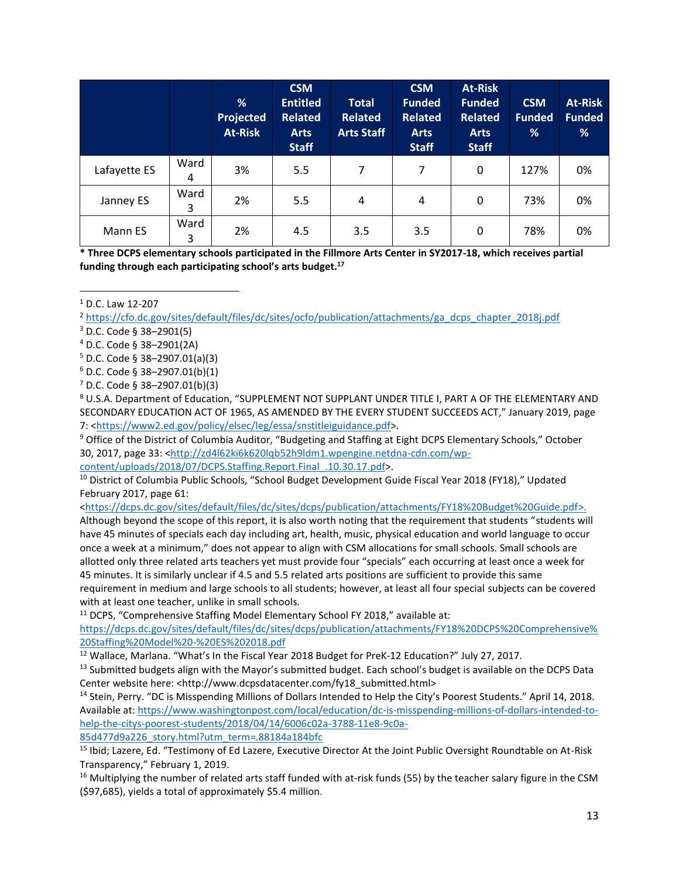|              |           | %<br>Projected<br><b>At-Risk</b> | <b>CSM</b><br><b>Entitled</b><br><b>Related</b><br><b>Arts</b><br><b>Staff</b> | <b>Total</b><br><b>Related</b><br><b>Arts Staff</b> | <b>CSM</b><br><b>Funded</b><br><b>Related</b><br><b>Arts</b><br><b>Staff</b> | <b>At-Risk</b><br><b>Funded</b><br><b>Related</b><br><b>Arts</b><br><b>Staff</b> | <b>CSM</b><br><b>Funded</b><br>% | <b>At-Risk</b><br><b>Funded</b><br>% |
|--------------|-----------|----------------------------------|--------------------------------------------------------------------------------|-----------------------------------------------------|------------------------------------------------------------------------------|----------------------------------------------------------------------------------|----------------------------------|--------------------------------------|
| Lafayette ES | Ward<br>4 | 3%                               | 5.5                                                                            | 7                                                   | 7                                                                            | 0                                                                                | 127%                             | 0%                                   |
| Janney ES    | Ward<br>3 | 2%                               | 5.5                                                                            | 4                                                   | $\overline{4}$                                                               | 0                                                                                | 73%                              | 0%                                   |
| Mann ES      | Ward<br>3 | 2%                               | 4.5                                                                            | 3.5                                                 | 3.5                                                                          | $\mathbf 0$                                                                      | 78%                              | 0%                                   |

**\* Three DCPS elementary schools participated in the Fillmore Arts Center in SY2017-18, which receives partial funding through each participating school's arts budget.<sup>17</sup>**

<sup>1</sup> D.C. Law 12-207

l

<sup>2</sup> [https://cfo.dc.gov/sites/default/files/dc/sites/ocfo/publication/attachments/ga\\_dcps\\_chapter\\_2018j.pdf](https://cfo.dc.gov/sites/default/files/dc/sites/ocfo/publication/attachments/ga_dcps_chapter_2018j.pdf)

 $3$  D.C. Code § 38–2901(5)

<sup>4</sup> D.C. Code § 38–2901(2A)

 $5$  D.C. Code § 38-2907.01(a)(3)

 $6$  D.C. Code § 38-2907.01(b)(1)

<sup>7</sup> D.C. Code § 38–2907.01(b)(3)

<sup>8</sup> U.S.A. Department of Education, "SUPPLEMENT NOT SUPPLANT UNDER TITLE I, PART A OF THE ELEMENTARY AND SECONDARY EDUCATION ACT OF 1965, AS AMENDED BY THE EVERY STUDENT SUCCEEDS ACT," January 2019, page 7: [<https://www2.ed.gov/policy/elsec/leg/essa/snstitleiguidance.pdf>](https://www2.ed.gov/policy/elsec/leg/essa/snstitleiguidance.pdf).

<sup>9</sup> Office of the District of Columbia Auditor, "Budgeting and Staffing at Eight DCPS Elementary Schools," October 30, 2017, page 33: [<http://zd4l62ki6k620lqb52h9ldm1.wpengine.netdna-cdn.com/wp-](http://zd4l62ki6k620lqb52h9ldm1.wpengine.netdna-cdn.com/wp-content/uploads/2018/07/DCPS.Staffing.Report.Final_.10.30.17.pdf)

[content/uploads/2018/07/DCPS.Staffing.Report.Final\\_.10.30.17.pdf>](http://zd4l62ki6k620lqb52h9ldm1.wpengine.netdna-cdn.com/wp-content/uploads/2018/07/DCPS.Staffing.Report.Final_.10.30.17.pdf).

<sup>10</sup> District of Columbia Public Schools, "School Budget Development Guide Fiscal Year 2018 (FY18)," Updated February 2017, page 61:

[<https://dcps.dc.gov/sites/default/files/dc/sites/dcps/publication/attachments/FY18%20Budget%20Guide.pdf>](https://dcps.dc.gov/sites/default/files/dc/sites/dcps/publication/attachments/FY18%20Budget%20Guide.pdf).

Although beyond the scope of this report, it is also worth noting that the requirement that students "students will have 45 minutes of specials each day including art, health, music, physical education and world language to occur once a week at a minimum," does not appear to align with CSM allocations for small schools. Small schools are allotted only three related arts teachers yet must provide four "specials" each occurring at least once a week for 45 minutes. It is similarly unclear if 4.5 and 5.5 related arts positions are sufficient to provide this same requirement in medium and large schools to all students; however, at least all four special subjects can be covered with at least one teacher, unlike in small schools.

<sup>11</sup> DCPS, "Comprehensive Staffing Model Elementary School FY 2018," available at:

[https://dcps.dc.gov/sites/default/files/dc/sites/dcps/publication/attachments/FY18%20DCPS%20Comprehensive%](https://dcps.dc.gov/sites/default/files/dc/sites/dcps/publication/attachments/FY18%20DCPS%20Comprehensive%20Staffing%20Model%20-%20ES%202018.pdf) [20Staffing%20Model%20-%20ES%202018.pdf](https://dcps.dc.gov/sites/default/files/dc/sites/dcps/publication/attachments/FY18%20DCPS%20Comprehensive%20Staffing%20Model%20-%20ES%202018.pdf) 

<sup>12</sup> Wallace, Marlana. "What's In the Fiscal Year 2018 Budget for PreK-12 Education?" July 27, 2017.

<sup>13</sup> Submitted budgets align with the Mayor's submitted budget. Each school's budget is available on the DCPS Data Center website here: <http://www.dcpsdatacenter.com/fy18\_submitted.html>

<sup>14</sup> Stein, Perry. "DC is Misspending Millions of Dollars Intended to Help the City's Poorest Students." April 14, 2018. Available at: [https://www.washingtonpost.com/local/education/dc-is-misspending-millions-of-dollars-intended-to](https://www.washingtonpost.com/local/education/dc-is-misspending-millions-of-dollars-intended-to-help-the-citys-poorest-students/2018/04/14/6006c02a-3788-11e8-9c0a-85d477d9a226_story.html?utm_term=.88184a184bfc)[help-the-citys-poorest-students/2018/04/14/6006c02a-3788-11e8-9c0a-](https://www.washingtonpost.com/local/education/dc-is-misspending-millions-of-dollars-intended-to-help-the-citys-poorest-students/2018/04/14/6006c02a-3788-11e8-9c0a-85d477d9a226_story.html?utm_term=.88184a184bfc)[85d477d9a226\\_story.html?utm\\_term=.88184a184bfc](https://www.washingtonpost.com/local/education/dc-is-misspending-millions-of-dollars-intended-to-help-the-citys-poorest-students/2018/04/14/6006c02a-3788-11e8-9c0a-85d477d9a226_story.html?utm_term=.88184a184bfc)

<sup>15</sup> Ibid; Lazere, Ed. "Testimony of Ed Lazere, Executive Director At the Joint Public Oversight Roundtable on At-Risk Transparency," February 1, 2019.

 $16$  Multiplying the number of related arts staff funded with at-risk funds (55) by the teacher salary figure in the CSM (\$97,685), yields a total of approximately \$5.4 million.